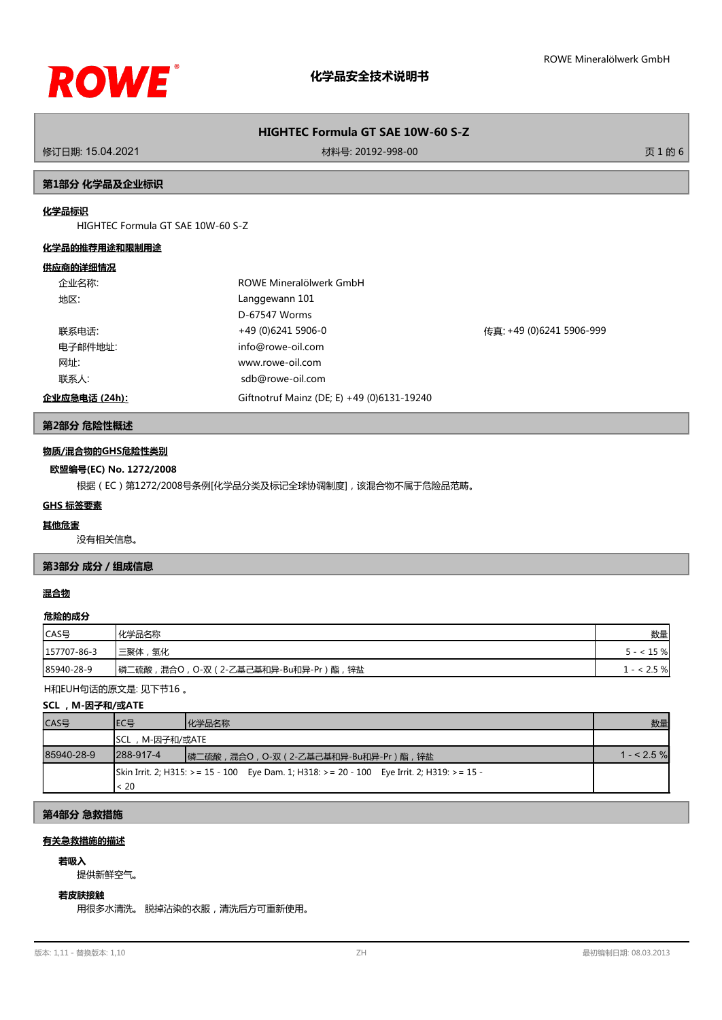

## **HIGHTEC Formula GT SAE 10W-60 S-Z**

修订日期: 15.04.2021 材料号: 20192-998-00 页 1 的 6

#### **第1部分 化学品及企业标识**

### **化学品标识**

HIGHTEC Formula GT SAE 10W-60 S-Z

#### **化学品的推荐用途和限制用途**

#### **供应商的详细情况**

|      | 企业名称:         | ROWE Mineralölwerk GmbH                    |                          |
|------|---------------|--------------------------------------------|--------------------------|
| 地区:  |               | Langgewann 101                             |                          |
|      |               | D-67547 Worms                              |                          |
|      | 联系电话:         | +49 (0)6241 5906-0                         | 传真: +49 (0)6241 5906-999 |
|      | 电子邮件地址:       | info@rowe-oil.com                          |                          |
| 网址:  |               | www.rowe-oil.com                           |                          |
| 联系人: |               | sdb@rowe-oil.com                           |                          |
|      | 企业应急电话 (24h): | Giftnotruf Mainz (DE; E) +49 (0)6131-19240 |                          |

## **第2部分 危险性概述**

#### **物质/混合物的GHS危险性类别**

#### **欧盟编号(EC) No. 1272/2008**

根据(EC)第1272/2008号条例[化学品分类及标记全球协调制度],该混合物不属于危险品范畴。

#### **GHS 标签要素**

#### **其他危害**

没有相关信息。

### **第3部分 成分/组成信息**

#### **混合物**

#### **危险的成分**

| CAS号        | 化学品名称                                   | 数量    |
|-------------|-----------------------------------------|-------|
| 157707-86-3 | '三聚体 ,<br> 氢化                           | 15 %  |
| 85940-28-9  | 锌盐<br>┃磷二硫酸,混合○,○-双(2-乙基己基和异-Bu和异-Pr)酯, | 2.5 % |

H和EUH句话的原文是: 见下节16 。

#### **SCL ,M-因子和/或ATE**

| ICAS号      | IEC목              | 化学品名称                                                                                      | 数量          |
|------------|-------------------|--------------------------------------------------------------------------------------------|-------------|
|            | SCL,M-因子和/或ATE    |                                                                                            |             |
| 85940-28-9 | <b>I288-917-4</b> | ┃磷二硫酸,混合○, ○-双(2-乙基己基和异-Bu和异-Pr)酯,锌盐                                                       | $1 - 2.5\%$ |
|            | < 20              | Skin Irrit. 2; H315: >= 15 - 100 Eye Dam. 1; H318: >= 20 - 100 Eye Irrit. 2; H319: >= 15 - |             |

### **第4部分 急救措施**

## **有关急救措施的描述**

# **若吸入**

提供新鲜空气。

## **若皮肤接触**

用很多水清洗。 脱掉沾染的衣服,清洗后方可重新使用。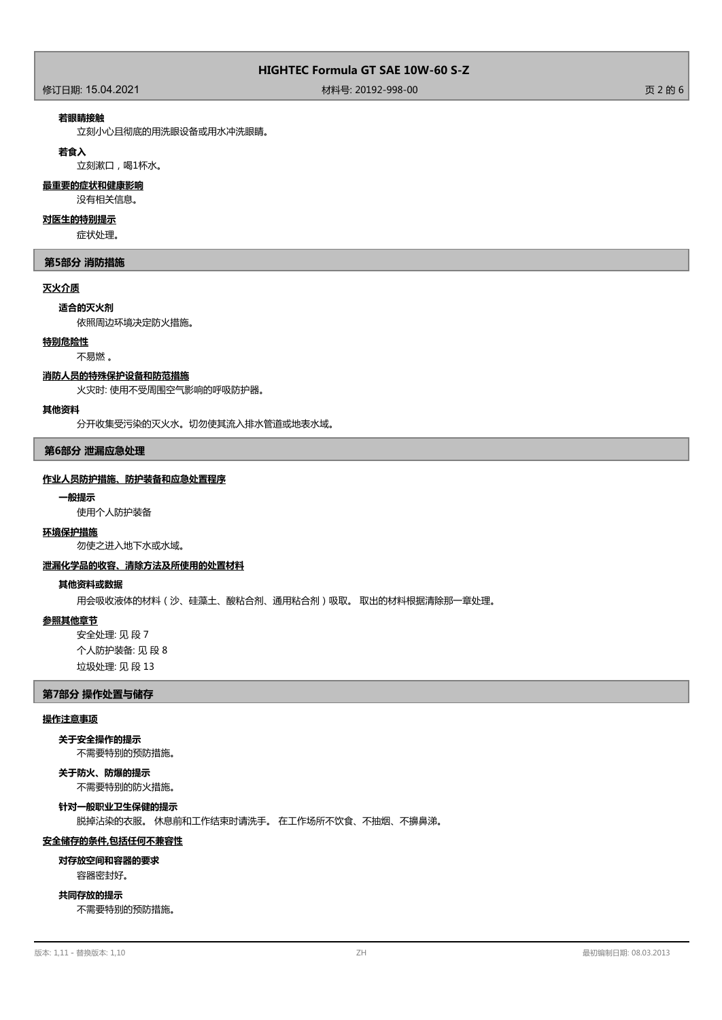### 修订日期: 15.04.2021 材料号: 20192-998-00 页 2 的 6

#### **若眼睛接触**

立刻小心且彻底的用洗眼设备或用水冲洗眼睛。

#### **若食入**

立刻漱口,喝1杯水。

## **最重要的症状和健康影响**

没有相关信息。

#### **对医生的特别提示**

症状处理。

#### **第5部分 消防措施**

#### **灭火介质**

#### **适合的灭火剂**

依照周边环境决定防火措施。

#### **特别危险性**

#### 不易燃 。

#### **消防人员的特殊保护设备和防范措施**

火灾时: 使用不受周围空气影响的呼吸防护器。

#### **其他资料**

分开收集受污染的灭火水。切勿使其流入排水管道或地表水域。

#### **第6部分 泄漏应急处理**

#### **作业人员防护措施、防护装备和应急处置程序**

#### **一般提示**

使用个人防护装备

#### **环境保护措施**

勿使之进入地下水或水域。

#### **泄漏化学品的收容、清除方法及所使用的处置材料**

#### **其他资料或数据**

用会吸收液体的材料(沙、硅藻土、酸粘合剂、通用粘合剂)吸取。 取出的材料根据清除那一章处理。

#### **参照其他章节**

安全处理: 见 段 7 个人防护装备: 见 段 8 垃圾处理: 见 段 13

### **第7部分 操作处置与储存**

#### **操作注意事项**

不需要特别的预防措施。 **关于安全操作的提示**

## **关于防火、防爆的提示**

不需要特别的防火措施。

**针对一般职业卫生保健的提示**

脱掉沾染的衣服。 休息前和工作结束时请洗手。 在工作场所不饮食、不抽烟、不擤鼻涕。

#### **安全储存的条件,包括任何不兼容性**

#### **对存放空间和容器的要求**

容器密封好。

#### **共同存放的提示**

不需要特别的预防措施。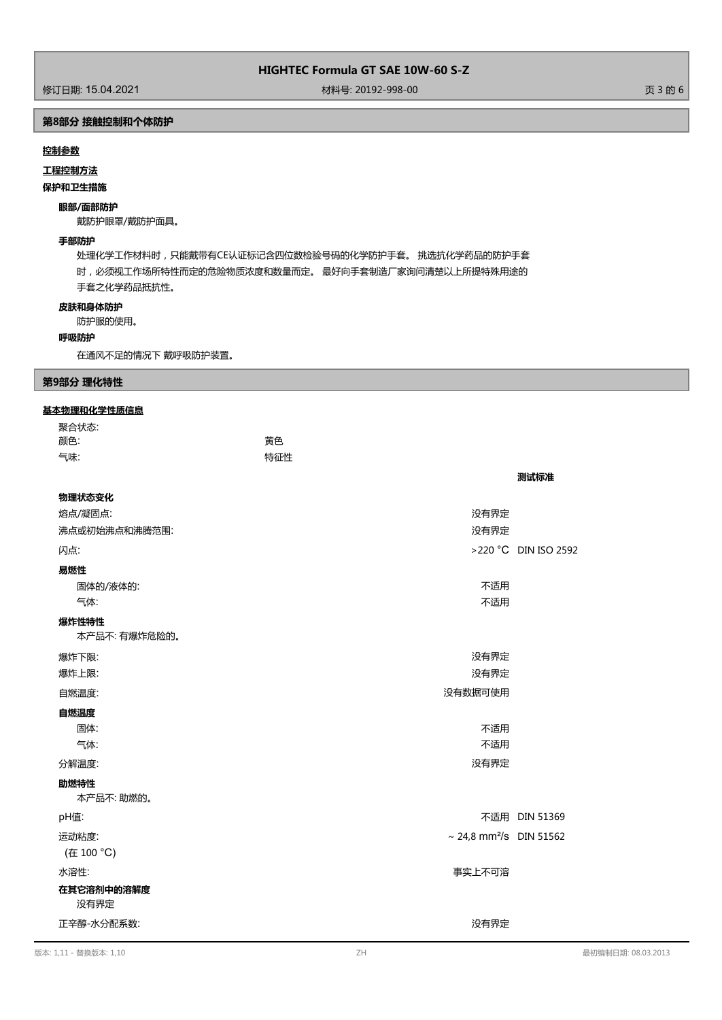## **HIGHTEC Formula GT SAE 10W-60 S-Z**

## **第8部分 接触控制和个体防护**

#### **控制参数**

**工程控制方法**

#### **保护和卫生措施**

## **眼部/面部防护**

戴防护眼罩/戴防护面具。

#### **手部防护**

处理化学工作材料时,只能戴带有CE认证标记含四位数检验号码的化学防护手套。 挑选抗化学药品的防护手套 时,必须视工作场所特性而定的危险物质浓度和数量而定。 最好向手套制造厂家询问清楚以上所提特殊用途的 手套之化学药品抵抗性。

#### **皮肤和身体防护**

防护服的使用。

#### **呼吸防护**

在通风不足的情况下 戴呼吸防护装置。

### **第9部分 理化特性**

#### **基本物理和化学性质信息**

| 聚合状态:                  |                                     |                      |
|------------------------|-------------------------------------|----------------------|
| 颜色:                    | 黄色                                  |                      |
| 气味:                    | 特征性                                 |                      |
|                        |                                     | 测试标准                 |
| 物理状态变化                 |                                     |                      |
| 熔点/凝固点:                | 没有界定                                |                      |
| 沸点或初始沸点和沸腾范围:          | 没有界定                                |                      |
| 闪点:                    |                                     | >220 °C DIN ISO 2592 |
| 易燃性                    |                                     |                      |
| 固体的/液体的:               | 不适用                                 |                      |
| 气体:                    | 不适用                                 |                      |
| 爆炸性特性<br>本产品不: 有爆炸危险的。 |                                     |                      |
| 爆炸下限:                  | 没有界定                                |                      |
| 爆炸上限:                  | 没有界定                                |                      |
| 自燃温度:                  | 没有数据可使用                             |                      |
| 自燃温度                   |                                     |                      |
| 固体:                    | 不适用                                 |                      |
| 气体:                    | 不适用                                 |                      |
| 分解温度:                  | 没有界定                                |                      |
| 助燃特性                   |                                     |                      |
| 本产品不:助燃的。              |                                     |                      |
| pH值:                   |                                     | 不适用 DIN 51369        |
| 运动粘度:<br>(在 100 °C)    | ~ 24,8 mm <sup>2</sup> /s DIN 51562 |                      |
| 水溶性:                   | 事实上不可溶                              |                      |
| 在其它溶剂中的溶解度<br>没有界定     |                                     |                      |
| 正辛醇-水分配系数:             | 没有界定                                |                      |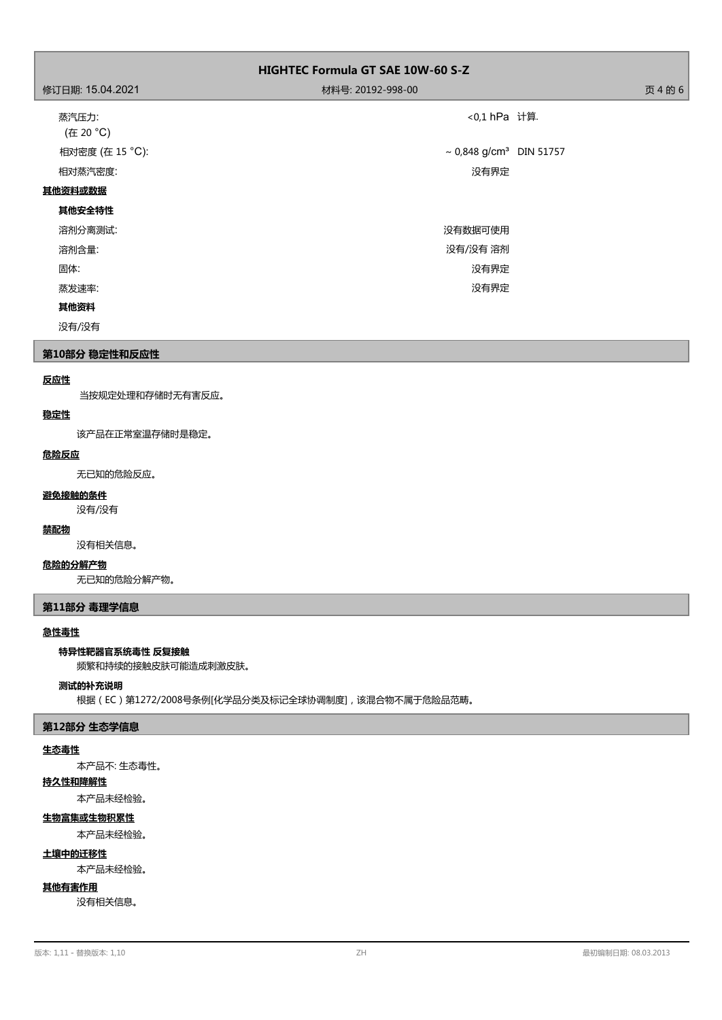| <b>HIGHTEC Formula GT SAE 10W-60 S-Z</b> |                                     |         |
|------------------------------------------|-------------------------------------|---------|
| 修订日期: 15.04.2021                         | 材料号: 20192-998-00                   | 页 4 的 6 |
| 蒸汽压力:<br>(在 20 °C)                       | <0,1 hPa 计算.                        |         |
| 相对密度 (在 15 °C):                          | ~ 0,848 g/cm <sup>3</sup> DIN 51757 |         |
| 相对蒸汽密度:                                  | 没有界定                                |         |
| 其他资料或数据                                  |                                     |         |
| 其他安全特性                                   |                                     |         |
| 溶剂分离测试:                                  | 没有数据可使用                             |         |
| 溶剂含量:                                    | 没有/没有 溶剂                            |         |
| 固体:                                      | 没有界定                                |         |
| 蒸发速率:                                    | 没有界定                                |         |
| 其他资料                                     |                                     |         |
| 没有/没有                                    |                                     |         |

## **第10部分 稳定性和反应性**

### **反应性**

当按规定处理和存储时无有害反应。

#### **稳定性**

该产品在正常室温存储时是稳定。

## **危险反应**

无已知的危险反应。

## **避免接触的条件**

没有/没有

## **禁配物**

没有相关信息。

#### **危险的分解产物**

无已知的危险分解产物。

### **第11部分 毒理学信息**

#### **急性毒性**

#### **特异性靶器官系统毒性 反复接触**

频繁和持续的接触皮肤可能造成刺激皮肤。

#### **测试的补充说明**

根据(EC)第1272/2008号条例[化学品分类及标记全球协调制度],该混合物不属于危险品范畴。

#### **第12部分 生态学信息**

#### **生态毒性**

本产品不: 生态毒性。

## **持久性和降解性**

本产品未经检验。

## **生物富集或生物积累性**

本产品未经检验。

#### **土壤中的迁移性**

本产品未经检验。

## **其他有害作用**

没有相关信息。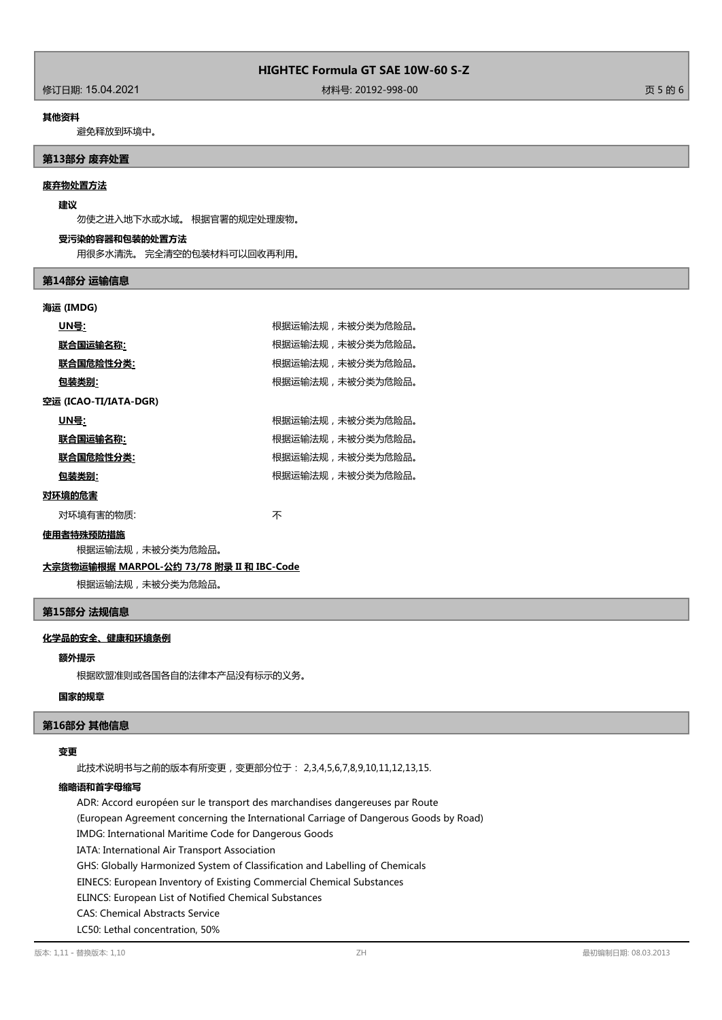修订日期: 15.04.2021 材料号: 20192-998-00 页 5 的 6

#### **其他资料**

避免释放到环境中。

#### **第13部分 废弃处置**

#### **废弃物处置方法**

#### **建议**

勿使之进入地下水或水域。 根据官署的规定处理废物。

#### **受污染的容器和包装的处置方法**

用很多水清洗。 完全清空的包装材料可以回收再利用。

#### **第14部分 运输信息**

#### **海运 (IMDG)**

|        | UN号:                  | 根据运输法规,未被分类为危险品。 |
|--------|-----------------------|------------------|
|        | 联合国运输名称:              | 根据运输法规,未被分类为危险品。 |
|        | 联合国危险性分类:             | 根据运输法规,未被分类为危险品。 |
|        | 包装类别:                 | 根据运输法规,未被分类为危险品。 |
|        | 空运 (ICAO-TI/IATA-DGR) |                  |
|        | UN号:                  | 根据运输法规,未被分类为危险品。 |
|        | 联合国运输名称:              | 根据运输法规,未被分类为危险品。 |
|        | 联合国危险性分类:             | 根据运输法规,未被分类为危险品。 |
|        | 包装类别:                 | 根据运输法规,未被分类为危险品。 |
| 对环境的危害 |                       |                  |
|        | 对环境有害的物质:             | 不                |

#### **使用者特殊预防措施**

根据运输法规,未被分类为危险品。

#### **大宗货物运输根据 MARPOL-公约 73/78 附录 II 和 IBC-Code**

根据运输法规,未被分类为危险品。

## **第15部分 法规信息**

## **化学品的安全、健康和环境条例**

#### **额外提示**

根据欧盟准则或各国各自的法律本产品没有标示的义务。

#### **国家的规章**

### **第16部分 其他信息**

#### **变更**

此技术说明书与之前的版本有所变更,变更部分位于: 2,3,4,5,6,7,8,9,10,11,12,13,15.

## **缩略语和首字母缩写**

ADR: Accord européen sur le transport des marchandises dangereuses par Route (European Agreement concerning the International Carriage of Dangerous Goods by Road) IMDG: International Maritime Code for Dangerous Goods IATA: International Air Transport Association GHS: Globally Harmonized System of Classification and Labelling of Chemicals EINECS: European Inventory of Existing Commercial Chemical Substances ELINCS: European List of Notified Chemical Substances CAS: Chemical Abstracts Service LC50: Lethal concentration, 50%